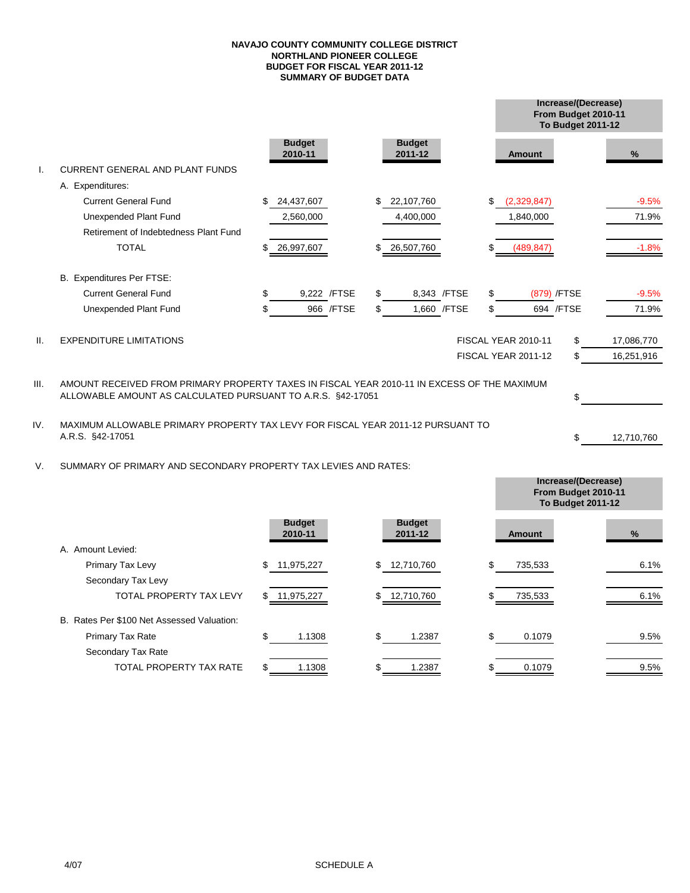#### **SUMMARY OF BUDGET DATA NAVAJO COUNTY COMMUNITY COLLEGE DISTRICT NORTHLAND PIONEER COLLEGE BUDGET FOR FISCAL YEAR 2011-12**

|                 |                                                                                             |                          |                          |    |                            | To Budget 2011-12 | Increase/(Decrease)<br>From Budget 2010-11 |            |
|-----------------|---------------------------------------------------------------------------------------------|--------------------------|--------------------------|----|----------------------------|-------------------|--------------------------------------------|------------|
|                 |                                                                                             | <b>Budget</b><br>2010-11 | <b>Budget</b><br>2011-12 |    | <b>Amount</b>              |                   |                                            | %          |
|                 | <b>CURRENT GENERAL AND PLANT FUNDS</b>                                                      |                          |                          |    |                            |                   |                                            |            |
|                 | A. Expenditures:                                                                            |                          |                          |    |                            |                   |                                            |            |
|                 | <b>Current General Fund</b>                                                                 | \$<br>24,437,607         | \$<br>22,107,760         | \$ | (2,329,847)                |                   |                                            | $-9.5%$    |
|                 | Unexpended Plant Fund                                                                       | 2,560,000                | 4,400,000                |    | 1,840,000                  |                   |                                            | 71.9%      |
|                 | Retirement of Indebtedness Plant Fund                                                       |                          |                          |    |                            |                   |                                            |            |
|                 | <b>TOTAL</b>                                                                                | \$<br>26,997,607         | \$<br>26,507,760         | S  | (489, 847)                 |                   |                                            | $-1.8%$    |
|                 | B. Expenditures Per FTSE:                                                                   |                          |                          |    |                            |                   |                                            |            |
|                 | <b>Current General Fund</b>                                                                 | \$<br>9,222 /FTSE        | \$<br>8,343 / FTSE       | \$ |                            | (879) /FTSE       |                                            | $-9.5%$    |
|                 | Unexpended Plant Fund                                                                       | 966 / FTSE               | \$<br>1,660 / FTSE       | \$ |                            | 694 / FTSE        |                                            | 71.9%      |
| $\mathbf{II}$ . | <b>EXPENDITURE LIMITATIONS</b>                                                              |                          |                          |    | <b>FISCAL YEAR 2010-11</b> | \$                |                                            | 17,086,770 |
|                 |                                                                                             |                          |                          |    | FISCAL YEAR 2011-12        | \$                |                                            | 16,251,916 |
| III.            | AMOUNT RECEIVED FROM PRIMARY PROPERTY TAXES IN FISCAL YEAR 2010-11 IN EXCESS OF THE MAXIMUM |                          |                          |    |                            |                   |                                            |            |
|                 | ALLOWABLE AMOUNT AS CALCULATED PURSUANT TO A.R.S. §42-17051                                 |                          |                          |    |                            | \$                |                                            |            |
| IV.             | MAXIMUM ALLOWABLE PRIMARY PROPERTY TAX LEVY FOR FISCAL YEAR 2011-12 PURSUANT TO             |                          |                          |    |                            |                   |                                            |            |
|                 | A.R.S. §42-17051                                                                            |                          |                          |    |                            | \$                |                                            | 12,710,760 |

V. SUMMARY OF PRIMARY AND SECONDARY PROPERTY TAX LEVIES AND RATES:

|                                            |                          |                          | From Budget 2010-11<br>To Budget 2011-12 |      |
|--------------------------------------------|--------------------------|--------------------------|------------------------------------------|------|
|                                            | <b>Budget</b><br>2010-11 | <b>Budget</b><br>2011-12 | <b>Amount</b>                            | %    |
| A. Amount Levied:                          |                          |                          |                                          |      |
| Primary Tax Levy                           | 11,975,227<br>\$.        | 12,710,760<br>\$         | 735,533                                  | 6.1% |
| Secondary Tax Levy                         |                          |                          |                                          |      |
| <b>TOTAL PROPERTY TAX LEVY</b>             | \$ 11,975,227            | \$ 12,710,760            | 735,533                                  | 6.1% |
| B. Rates Per \$100 Net Assessed Valuation: |                          |                          |                                          |      |
| <b>Primary Tax Rate</b>                    | 1.1308                   | \$<br>1.2387             | 0.1079                                   | 9.5% |
| Secondary Tax Rate                         |                          |                          |                                          |      |
| <b>TOTAL PROPERTY TAX RATE</b>             | 1.1308                   | 1.2387                   | 0.1079                                   | 9.5% |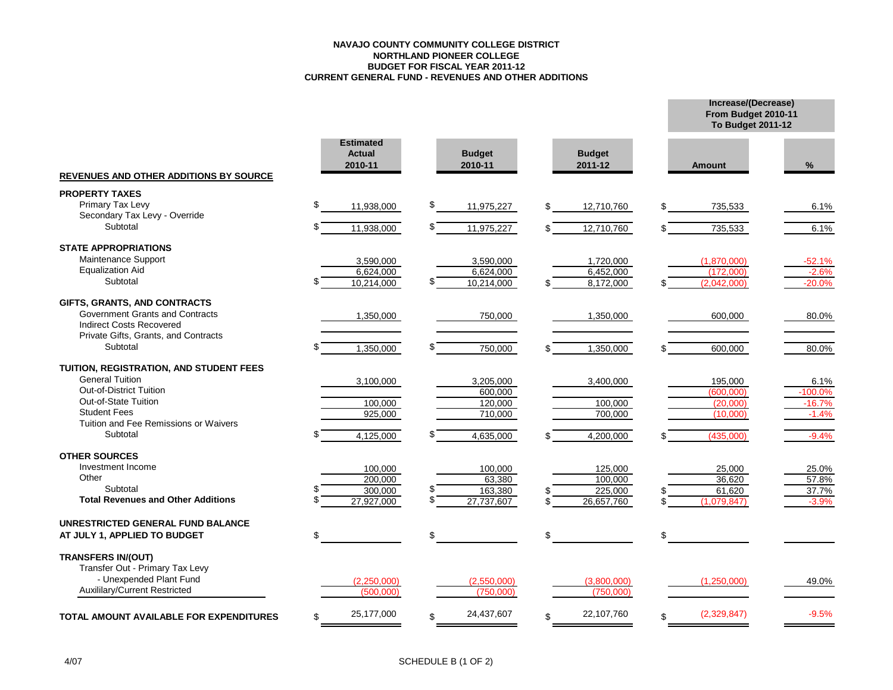#### **NAVAJO COUNTY COMMUNITY COLLEGE DISTRICT NORTHLAND PIONEER COLLEGE BUDGET FOR FISCAL YEAR 2011-12 CURRENT GENERAL FUND - REVENUES AND OTHER ADDITIONS**

|                                                   |                                              |                          |                          | From Budget 2010-11<br><b>To Budget 2011-12</b> |           |
|---------------------------------------------------|----------------------------------------------|--------------------------|--------------------------|-------------------------------------------------|-----------|
| <b>REVENUES AND OTHER ADDITIONS BY SOURCE</b>     | <b>Estimated</b><br><b>Actual</b><br>2010-11 | <b>Budget</b><br>2010-11 | <b>Budget</b><br>2011-12 | <b>Amount</b>                                   | $\%$      |
| <b>PROPERTY TAXES</b>                             |                                              |                          |                          |                                                 |           |
| Primary Tax Levy<br>Secondary Tax Levy - Override | \$<br>11,938,000                             | \$<br>11,975,227         | 12,710,760<br>\$.        | 735,533<br>\$                                   | 6.1%      |
| Subtotal                                          | 11,938,000                                   | \$<br>11,975,227         | 12,710,760               | 735,533                                         | 6.1%      |
| <b>STATE APPROPRIATIONS</b>                       |                                              |                          |                          |                                                 |           |
| Maintenance Support                               | 3,590,000                                    | 3,590,000                | 1,720,000                | (1,870,000)                                     | $-52.1%$  |
| <b>Equalization Aid</b>                           | 6,624,000                                    | 6,624,000                | 6,452,000                | (172,000)                                       | $-2.6%$   |
| Subtotal                                          | 10,214,000                                   | 10,214,000               | 8,172,000                | (2.042.000)                                     | $-20.0%$  |
| GIFTS, GRANTS, AND CONTRACTS                      |                                              |                          |                          |                                                 |           |
| Government Grants and Contracts                   | 1,350,000                                    | 750,000                  | 1,350,000                | 600,000                                         | 80.0%     |
| <b>Indirect Costs Recovered</b>                   |                                              |                          |                          |                                                 |           |
| Private Gifts, Grants, and Contracts              |                                              |                          |                          |                                                 |           |
| Subtotal                                          | 1,350,000                                    | 750,000                  | 1,350,000                | 600,000                                         | 80.0%     |
| TUITION, REGISTRATION, AND STUDENT FEES           |                                              |                          |                          |                                                 |           |
| <b>General Tuition</b>                            | 3,100,000                                    | 3,205,000                | 3,400,000                | 195,000                                         | 6.1%      |
| <b>Out-of-District Tuition</b>                    |                                              | 600,000                  |                          | (600,000)                                       | $-100.0%$ |
| Out-of-State Tuition                              | 100,000                                      | 120,000                  | 100,000                  | (20,000)                                        | $-16.7%$  |
| <b>Student Fees</b>                               | 925,000                                      | 710,000                  | 700,000                  | (10,000)                                        | $-1.4%$   |
| Tuition and Fee Remissions or Waivers             |                                              |                          |                          |                                                 |           |
| Subtotal                                          | 4,125,000                                    | 4,635,000                | 4,200,000                | (435,000)                                       | $-9.4%$   |
| <b>OTHER SOURCES</b>                              |                                              |                          |                          |                                                 |           |
| Investment Income                                 | 100,000                                      | 100,000                  | 125,000                  | 25.000                                          | 25.0%     |
| Other                                             | 200,000                                      | 63,380                   | 100,000                  | 36,620                                          | 57.8%     |
| Subtotal                                          | 300,000                                      | 163,380                  | 225,000                  | 61,620                                          | 37.7%     |
| <b>Total Revenues and Other Additions</b>         | 27,927,000                                   | \$<br>27,737,607         | 26,657,760               | (1,079,847)                                     | $-3.9%$   |
| UNRESTRICTED GENERAL FUND BALANCE                 |                                              |                          |                          |                                                 |           |
| AT JULY 1, APPLIED TO BUDGET                      | \$                                           |                          |                          |                                                 |           |
| <b>TRANSFERS IN/(OUT)</b>                         |                                              |                          |                          |                                                 |           |
| Transfer Out - Primary Tax Levy                   |                                              |                          |                          |                                                 |           |
| - Unexpended Plant Fund                           | (2,250,000)                                  | (2,550,000)              | (3,800,000)              | (1,250,000)                                     | 49.0%     |
| <b>Auxililary/Current Restricted</b>              | (500.000)                                    | (750.000)                | (750.000)                |                                                 |           |
| <b>TOTAL AMOUNT AVAILABLE FOR EXPENDITURES</b>    | 25,177,000<br>\$                             | 24,437,607<br>\$.        | 22,107,760<br>\$         | (2,329,847)<br>\$                               | $-9.5%$   |
|                                                   |                                              |                          |                          |                                                 |           |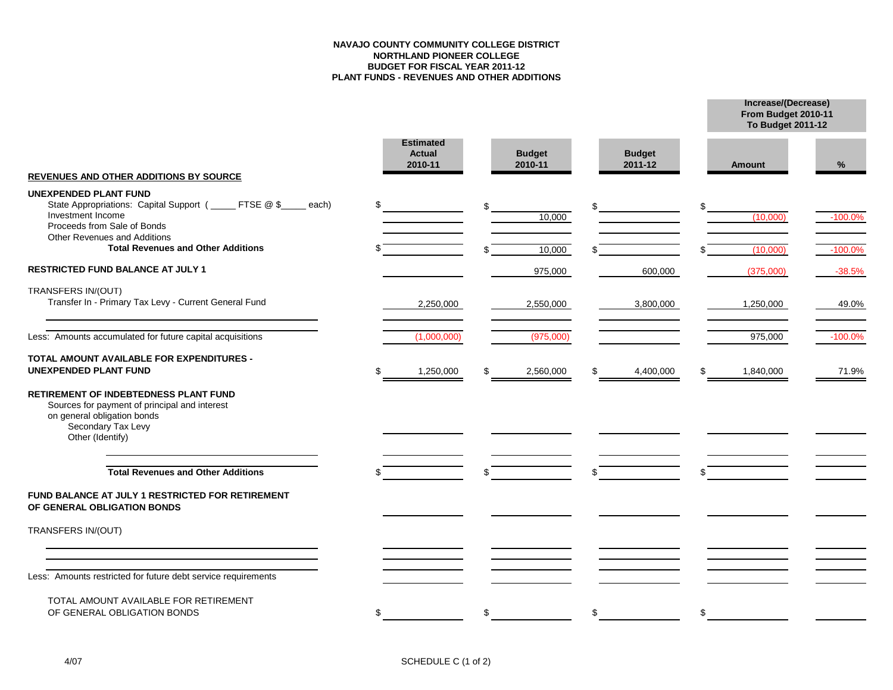#### **NAVAJO COUNTY COMMUNITY COLLEGE DISTRICT NORTHLAND PIONEER COLLEGE BUDGET FOR FISCAL YEAR 2011-12 PLANT FUNDS - REVENUES AND OTHER ADDITIONS**

**Increase/(Decrease)**

**To Budget 2011-12**

**From Budget 2010-11**

|                                                                                                                                                                                            | <b>Estimated</b><br><b>Actual</b><br>2010-11 | <b>Budget</b><br>2010-11 | <b>Budget</b><br>2011-12 | <b>Amount</b>   | %         |
|--------------------------------------------------------------------------------------------------------------------------------------------------------------------------------------------|----------------------------------------------|--------------------------|--------------------------|-----------------|-----------|
| <b>REVENUES AND OTHER ADDITIONS BY SOURCE</b>                                                                                                                                              |                                              |                          |                          |                 |           |
| <b>UNEXPENDED PLANT FUND</b><br>State Appropriations: Capital Support (_____ FTSE @ \$<br>each)<br>Investment Income<br>Proceeds from Sale of Bonds<br><b>Other Revenues and Additions</b> | \$                                           | 10.000                   | \$                       | (10,000)        | $-100.0%$ |
| <b>Total Revenues and Other Additions</b>                                                                                                                                                  |                                              | 10,000                   |                          | (10,000)        | $-100.0%$ |
| RESTRICTED FUND BALANCE AT JULY 1                                                                                                                                                          |                                              | 975,000                  | 600,000                  | (375,000)       | $-38.5%$  |
| TRANSFERS IN/(OUT)<br>Transfer In - Primary Tax Levy - Current General Fund                                                                                                                | 2,250,000                                    | 2,550,000                | 3,800,000                | 1,250,000       | 49.0%     |
| Less: Amounts accumulated for future capital acquisitions                                                                                                                                  | (1,000,000)                                  | (975,000)                |                          | 975,000         | $-100.0%$ |
| TOTAL AMOUNT AVAILABLE FOR EXPENDITURES -<br><b>UNEXPENDED PLANT FUND</b>                                                                                                                  | 1,250,000                                    | 2,560,000                | \$<br>4,400,000          | \$<br>1,840,000 | 71.9%     |
| <b>RETIREMENT OF INDEBTEDNESS PLANT FUND</b><br>Sources for payment of principal and interest<br>on general obligation bonds<br>Secondary Tax Levy<br>Other (Identify)                     |                                              |                          |                          |                 |           |
| <b>Total Revenues and Other Additions</b>                                                                                                                                                  |                                              |                          | \$                       |                 |           |
| FUND BALANCE AT JULY 1 RESTRICTED FOR RETIREMENT<br>OF GENERAL OBLIGATION BONDS                                                                                                            |                                              |                          |                          |                 |           |
| TRANSFERS IN/(OUT)                                                                                                                                                                         |                                              |                          |                          |                 |           |
|                                                                                                                                                                                            |                                              |                          |                          |                 |           |
| Less: Amounts restricted for future debt service requirements                                                                                                                              |                                              |                          |                          |                 |           |
| TOTAL AMOUNT AVAILABLE FOR RETIREMENT<br>OF GENERAL OBLIGATION BONDS                                                                                                                       | \$                                           | \$                       | \$                       | \$              |           |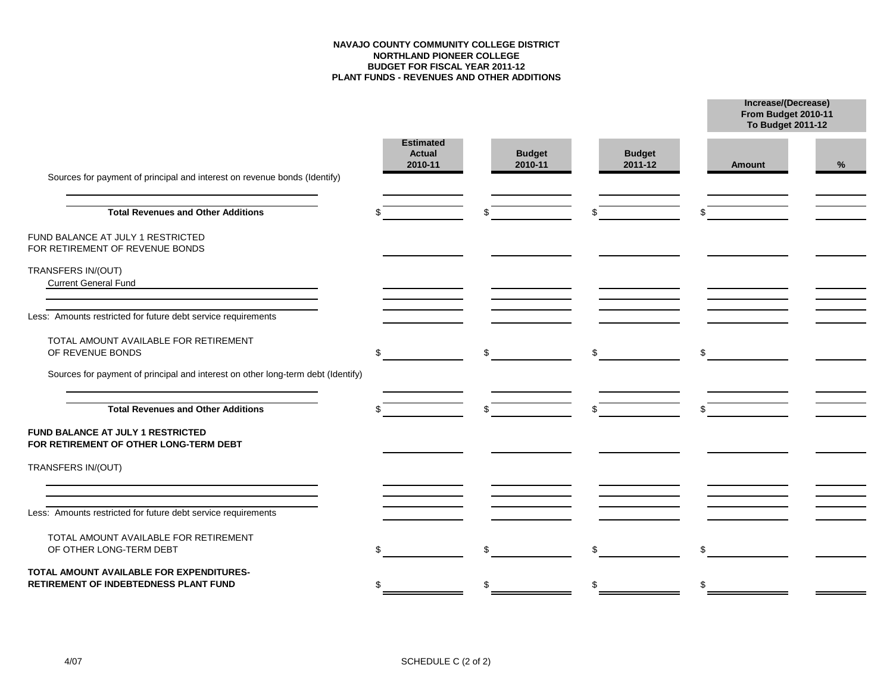### **NAVAJO COUNTY COMMUNITY COLLEGE DISTRICT NORTHLAND PIONEER COLLEGE BUDGET FOR FISCAL YEAR 2011-12 PLANT FUNDS - REVENUES AND OTHER ADDITIONS**

**Increase/(Decrease)**

**From Budget 2010-11**

|                                                                                   |                                              |                          |                          | To Budget 2011-12 |   |  |
|-----------------------------------------------------------------------------------|----------------------------------------------|--------------------------|--------------------------|-------------------|---|--|
| Sources for payment of principal and interest on revenue bonds (Identify)         | <b>Estimated</b><br><b>Actual</b><br>2010-11 | <b>Budget</b><br>2010-11 | <b>Budget</b><br>2011-12 | Amount            | % |  |
| <b>Total Revenues and Other Additions</b>                                         |                                              |                          | \$                       |                   |   |  |
| FUND BALANCE AT JULY 1 RESTRICTED<br>FOR RETIREMENT OF REVENUE BONDS              |                                              |                          |                          |                   |   |  |
| TRANSFERS IN/(OUT)<br><b>Current General Fund</b>                                 |                                              |                          |                          |                   |   |  |
| Less: Amounts restricted for future debt service requirements                     |                                              |                          |                          |                   |   |  |
| TOTAL AMOUNT AVAILABLE FOR RETIREMENT<br>OF REVENUE BONDS                         | \$                                           | \$                       | \$                       | \$                |   |  |
| Sources for payment of principal and interest on other long-term debt (Identify)  |                                              |                          |                          |                   |   |  |
| <b>Total Revenues and Other Additions</b>                                         |                                              |                          | \$                       |                   |   |  |
| FUND BALANCE AT JULY 1 RESTRICTED<br>FOR RETIREMENT OF OTHER LONG-TERM DEBT       |                                              |                          |                          |                   |   |  |
| TRANSFERS IN/(OUT)                                                                |                                              |                          |                          |                   |   |  |
| Less: Amounts restricted for future debt service requirements                     |                                              |                          |                          |                   |   |  |
| TOTAL AMOUNT AVAILABLE FOR RETIREMENT<br>OF OTHER LONG-TERM DEBT                  |                                              |                          | \$                       | \$.               |   |  |
| TOTAL AMOUNT AVAILABLE FOR EXPENDITURES-<br>RETIREMENT OF INDEBTEDNESS PLANT FUND | \$                                           |                          | \$                       | \$                |   |  |
|                                                                                   |                                              |                          |                          |                   |   |  |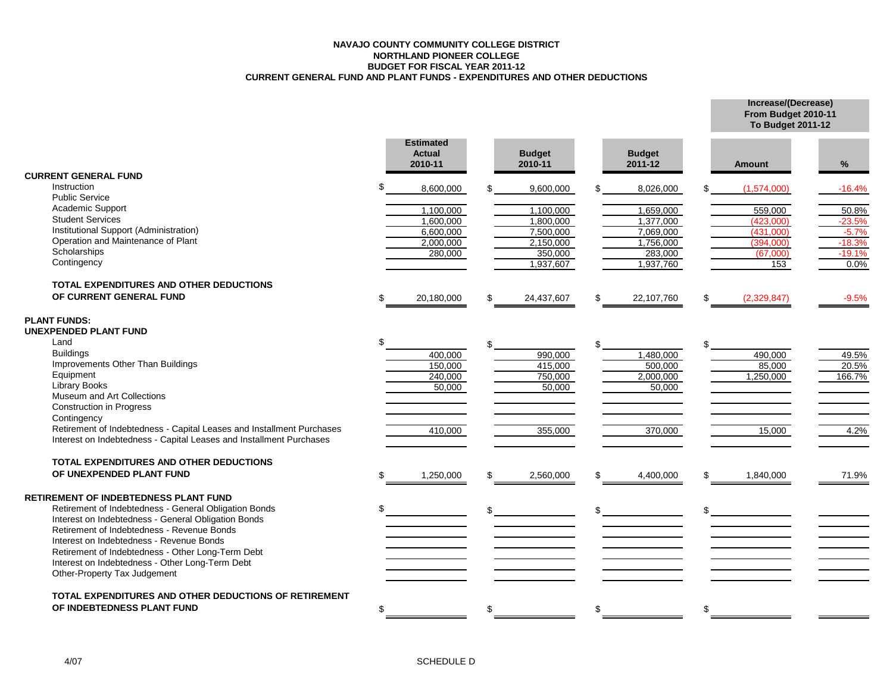#### **NAVAJO COUNTY COMMUNITY COLLEGE DISTRICT NORTHLAND PIONEER COLLEGE BUDGET FOR FISCAL YEAR 2011-12 CURRENT GENERAL FUND AND PLANT FUNDS - EXPENDITURES AND OTHER DEDUCTIONS**

**Increase/(Decrease) From Budget 2010-11**

|                                                                                 |     |                                              |    |                          |     |                          | <b>To Budget 2011-12</b> |          |
|---------------------------------------------------------------------------------|-----|----------------------------------------------|----|--------------------------|-----|--------------------------|--------------------------|----------|
|                                                                                 |     | <b>Estimated</b><br><b>Actual</b><br>2010-11 |    | <b>Budget</b><br>2010-11 |     | <b>Budget</b><br>2011-12 | <b>Amount</b>            | %        |
| <b>CURRENT GENERAL FUND</b>                                                     |     |                                              |    |                          |     |                          |                          |          |
| Instruction                                                                     | ደ   | 8,600,000                                    |    | 9,600,000                |     | 8,026,000                | (1,574,000)              | $-16.4%$ |
| <b>Public Service</b>                                                           |     |                                              |    |                          |     |                          |                          |          |
| Academic Support                                                                |     | 1,100,000                                    |    | 1,100,000                |     | 1,659,000                | 559,000                  | 50.8%    |
| <b>Student Services</b>                                                         |     | 1,600,000                                    |    | 1,800,000                |     | 1,377,000                | (423,000)                | $-23.5%$ |
| Institutional Support (Administration)                                          |     | 6.600.000                                    |    | 7.500.000                |     | 7,069,000                | (431.000)                | $-5.7%$  |
| Operation and Maintenance of Plant                                              |     | 2,000,000                                    |    | 2,150,000                |     | 1,756,000                | (394,000)                | $-18.3%$ |
| Scholarships                                                                    |     | 280,000                                      |    | 350,000                  |     | 283,000                  | (67,000)                 | $-19.1%$ |
| Contingency                                                                     |     |                                              |    | 1,937,607                |     | 1,937,760                | 153                      | 0.0%     |
| TOTAL EXPENDITURES AND OTHER DEDUCTIONS                                         |     |                                              |    |                          |     |                          |                          |          |
| OF CURRENT GENERAL FUND                                                         | \$  | 20,180,000                                   | £. | 24,437,607               | \$. | 22,107,760               | \$<br>(2,329,847)        | $-9.5%$  |
| <b>PLANT FUNDS:</b><br><b>UNEXPENDED PLANT FUND</b>                             |     |                                              |    |                          |     |                          |                          |          |
| Land                                                                            |     |                                              |    |                          |     |                          |                          |          |
| <b>Buildings</b>                                                                |     | 400,000                                      |    | 990,000                  |     | 1,480,000                | 490,000                  | 49.5%    |
| Improvements Other Than Buildings                                               |     | 150,000                                      |    | 415,000                  |     | 500,000                  | 85,000                   | 20.5%    |
| Equipment                                                                       |     | 240,000                                      |    | 750,000                  |     | 2,000,000                | 1,250,000                | 166.7%   |
| <b>Library Books</b>                                                            |     | 50,000                                       |    | 50,000                   |     | 50,000                   |                          |          |
| Museum and Art Collections                                                      |     |                                              |    |                          |     |                          |                          |          |
| <b>Construction in Progress</b>                                                 |     |                                              |    |                          |     |                          |                          |          |
| Contingency                                                                     |     |                                              |    |                          |     |                          |                          |          |
| Retirement of Indebtedness - Capital Leases and Installment Purchases           |     | 410,000                                      |    | 355,000                  |     | 370,000                  | 15,000                   | 4.2%     |
| Interest on Indebtedness - Capital Leases and Installment Purchases             |     |                                              |    |                          |     |                          |                          |          |
| TOTAL EXPENDITURES AND OTHER DEDUCTIONS                                         |     |                                              |    |                          |     |                          |                          |          |
| OF UNEXPENDED PLANT FUND                                                        | \$  | 1,250,000                                    | \$ | 2,560,000                | \$  | 4,400,000                | \$<br>1,840,000          | 71.9%    |
| RETIREMENT OF INDEBTEDNESS PLANT FUND                                           |     |                                              |    |                          |     |                          |                          |          |
| Retirement of Indebtedness - General Obligation Bonds                           | \$. |                                              |    |                          |     |                          |                          |          |
| Interest on Indebtedness - General Obligation Bonds                             |     |                                              |    |                          |     |                          |                          |          |
| Retirement of Indebtedness - Revenue Bonds                                      |     |                                              |    |                          |     |                          |                          |          |
| Interest on Indebtedness - Revenue Bonds                                        |     |                                              |    |                          |     |                          |                          |          |
| Retirement of Indebtedness - Other Long-Term Debt                               |     |                                              |    |                          |     |                          |                          |          |
| Interest on Indebtedness - Other Long-Term Debt<br>Other-Property Tax Judgement |     |                                              |    |                          |     |                          |                          |          |
| TOTAL EXPENDITURES AND OTHER DEDUCTIONS OF RETIREMENT                           |     |                                              |    |                          |     |                          |                          |          |
| OF INDEBTEDNESS PLANT FUND                                                      | \$  |                                              |    |                          |     |                          | \$                       |          |
|                                                                                 |     |                                              |    |                          |     |                          |                          |          |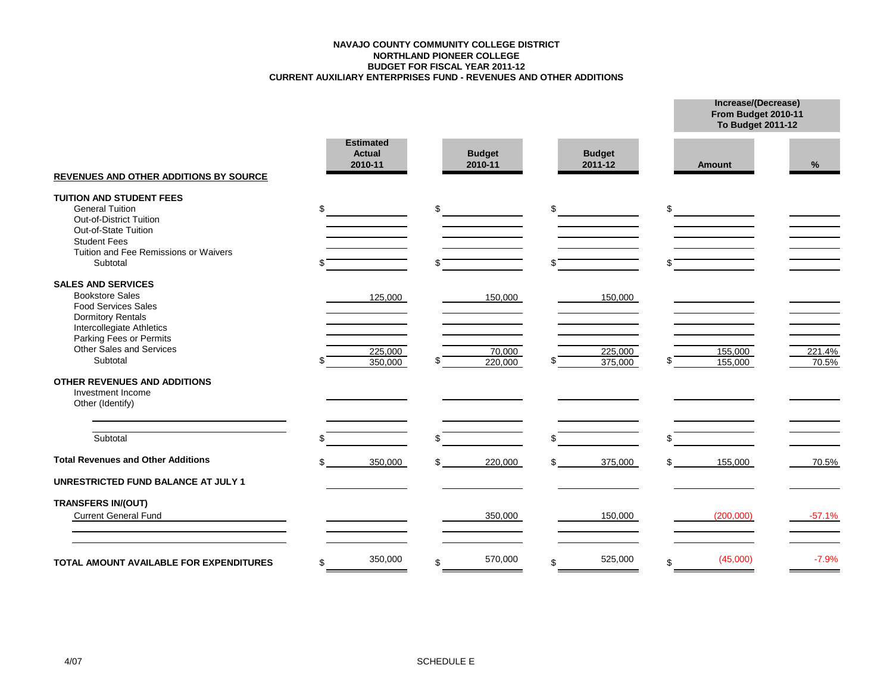#### **CURRENT AUXILIARY ENTERPRISES FUND - REVENUES AND OTHER ADDITIONS BUDGET FOR FISCAL YEAR 2011-12 NORTHLAND PIONEER COLLEGE NAVAJO COUNTY COMMUNITY COLLEGE DISTRICT**

**Increase/(Decrease) From Budget 2010-11**

|                                                                                                                                            |     |                                              |    |                          |                          |     | <b>To Budget 2011-12</b> |                 |
|--------------------------------------------------------------------------------------------------------------------------------------------|-----|----------------------------------------------|----|--------------------------|--------------------------|-----|--------------------------|-----------------|
| <b>REVENUES AND OTHER ADDITIONS BY SOURCE</b>                                                                                              |     | <b>Estimated</b><br><b>Actual</b><br>2010-11 |    | <b>Budget</b><br>2010-11 | <b>Budget</b><br>2011-12 |     | <b>Amount</b>            | %               |
| <b>TUITION AND STUDENT FEES</b><br><b>General Tuition</b><br>Out-of-District Tuition<br>Out-of-State Tuition<br><b>Student Fees</b>        | \$  |                                              | \$ |                          | \$                       | \$  |                          |                 |
| Tuition and Fee Remissions or Waivers<br>Subtotal                                                                                          |     |                                              |    |                          |                          | \$  |                          |                 |
| <b>SALES AND SERVICES</b><br><b>Bookstore Sales</b><br><b>Food Services Sales</b><br><b>Dormitory Rentals</b><br>Intercollegiate Athletics |     | 125,000                                      |    | 150,000                  | 150,000                  |     |                          |                 |
| Parking Fees or Permits<br>Other Sales and Services<br>Subtotal                                                                            |     | 225,000<br>350,000                           |    | 70,000<br>220,000        | 225,000<br>375,000       |     | 155,000<br>155,000       | 221.4%<br>70.5% |
| <b>OTHER REVENUES AND ADDITIONS</b><br>Investment Income<br>Other (Identify)                                                               |     |                                              |    |                          |                          |     |                          |                 |
| Subtotal                                                                                                                                   |     |                                              | ደ  |                          | \$                       | \$. |                          |                 |
| <b>Total Revenues and Other Additions</b>                                                                                                  | \$. | 350,000                                      | \$ | 220,000                  | \$<br>375,000            | \$  | 155,000                  | 70.5%           |
| <b>UNRESTRICTED FUND BALANCE AT JULY 1</b>                                                                                                 |     |                                              |    |                          |                          |     |                          |                 |
| <b>TRANSFERS IN/(OUT)</b><br><b>Current General Fund</b>                                                                                   |     |                                              |    | 350,000                  | 150,000                  |     | (200,000)                | $-57.1%$        |
| TOTAL AMOUNT AVAILABLE FOR EXPENDITURES                                                                                                    | \$  | 350,000                                      | \$ | 570,000                  | \$<br>525,000            | \$  | (45,000)                 | $-7.9%$         |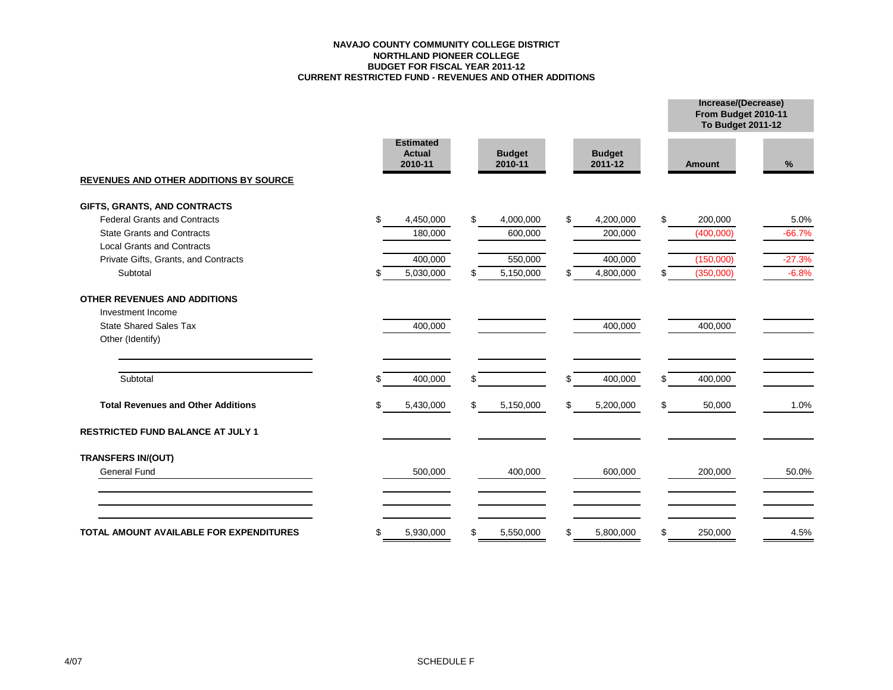#### **NAVAJO COUNTY COMMUNITY COLLEGE DISTRICT NORTHLAND PIONEER COLLEGE BUDGET FOR FISCAL YEAR 2011-12 CURRENT RESTRICTED FUND - REVENUES AND OTHER ADDITIONS**

|                                               |    |                                              |                          |    |                          | From Budget 2010-11<br><b>To Budget 2011-12</b> |          |
|-----------------------------------------------|----|----------------------------------------------|--------------------------|----|--------------------------|-------------------------------------------------|----------|
|                                               |    | <b>Estimated</b><br><b>Actual</b><br>2010-11 | <b>Budget</b><br>2010-11 |    | <b>Budget</b><br>2011-12 | <b>Amount</b>                                   | %        |
| <b>REVENUES AND OTHER ADDITIONS BY SOURCE</b> |    |                                              |                          |    |                          |                                                 |          |
| GIFTS, GRANTS, AND CONTRACTS                  |    |                                              |                          |    |                          |                                                 |          |
| <b>Federal Grants and Contracts</b>           | \$ | 4,450,000                                    | \$<br>4,000,000          | \$ | 4,200,000                | \$<br>200,000                                   | 5.0%     |
| <b>State Grants and Contracts</b>             |    | 180,000                                      | 600,000                  |    | 200,000                  | (400,000)                                       | $-66.7%$ |
| <b>Local Grants and Contracts</b>             |    |                                              |                          |    |                          |                                                 |          |
| Private Gifts, Grants, and Contracts          |    | 400,000                                      | 550,000                  |    | 400,000                  | (150,000)                                       | $-27.3%$ |
| Subtotal                                      | S  | 5,030,000                                    | \$<br>5,150,000          |    | 4,800,000                | \$<br>(350,000)                                 | $-6.8%$  |
| OTHER REVENUES AND ADDITIONS                  |    |                                              |                          |    |                          |                                                 |          |
| Investment Income                             |    |                                              |                          |    |                          |                                                 |          |
| <b>State Shared Sales Tax</b>                 |    | 400,000                                      |                          |    | 400,000                  | 400,000                                         |          |
| Other (Identify)                              |    |                                              |                          |    |                          |                                                 |          |
| Subtotal                                      |    | 400,000                                      | \$                       | \$ | 400,000                  | \$<br>400,000                                   |          |
| <b>Total Revenues and Other Additions</b>     | \$ | 5,430,000                                    | \$<br>5,150,000          | \$ | 5,200,000                | \$<br>50,000                                    | 1.0%     |
| <b>RESTRICTED FUND BALANCE AT JULY 1</b>      |    |                                              |                          |    |                          |                                                 |          |
| <b>TRANSFERS IN/(OUT)</b>                     |    |                                              |                          |    |                          |                                                 |          |
| <b>General Fund</b>                           |    | 500,000                                      | 400,000                  |    | 600,000                  | 200,000                                         | 50.0%    |
| TOTAL AMOUNT AVAILABLE FOR EXPENDITURES       |    |                                              |                          |    |                          | 250,000                                         | 4.5%     |
|                                               | \$ | 5,930,000                                    | \$<br>5,550,000          | S  | 5,800,000                | \$                                              |          |